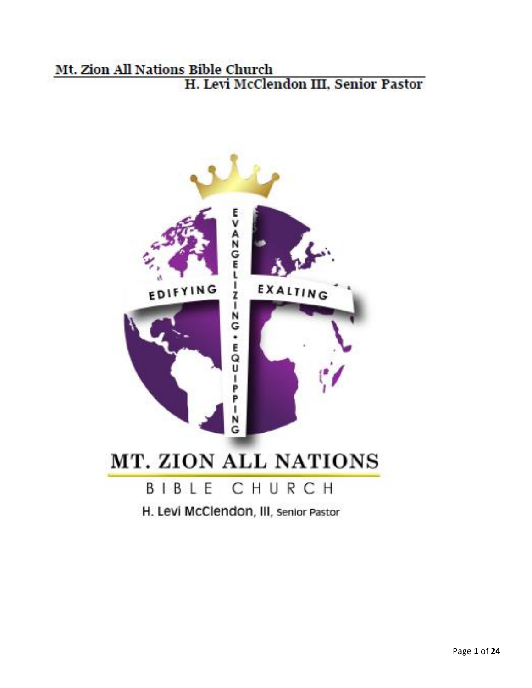### Mt. Zion All Nations Bible Church H. Levi McClendon III, Senior Pastor



H. Levi McClendon, III, senior Pastor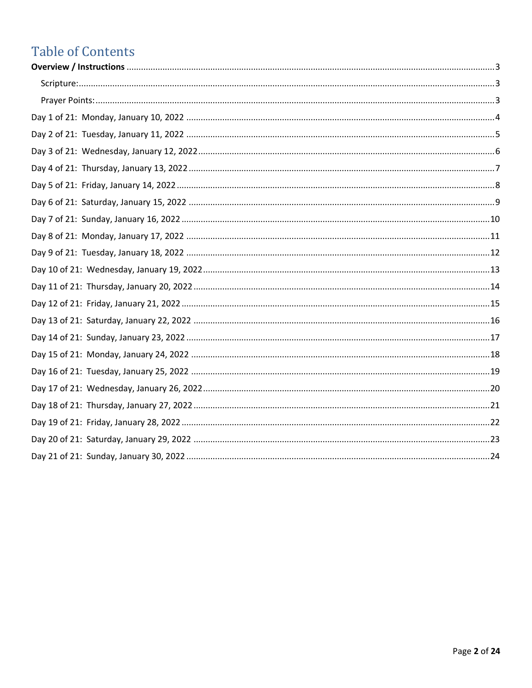# **Table of Contents**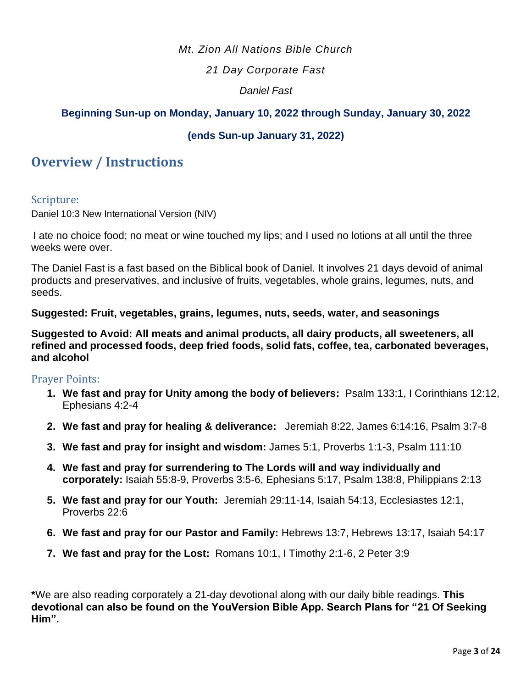#### *Mt. Zion All Nations Bible Church*

#### *21 Day Corporate Fast*

#### *Daniel Fast*

#### **Beginning Sun-up on Monday, January 10, 2022 through Sunday, January 30, 2022**

#### **(ends Sun-up January 31, 2022)**

#### <span id="page-2-0"></span>**Overview / Instructions**

#### <span id="page-2-1"></span>Scripture:

Daniel 10:3 New International Version (NIV)

I ate no choice food; no meat or wine touched my lips; and I used no lotions at all until the three weeks were over.

The Daniel Fast is a fast based on the Biblical book of Daniel. It involves 21 days devoid of animal products and preservatives, and inclusive of fruits, vegetables, whole grains, legumes, nuts, and seeds.

#### **Suggested: Fruit, vegetables, grains, legumes, nuts, seeds, water, and seasonings**

**Suggested to Avoid: All meats and animal products, all dairy products, all sweeteners, all refined and processed foods, deep fried foods, solid fats, coffee, tea, carbonated beverages, and alcohol** 

#### <span id="page-2-2"></span>Prayer Points:

- **1. We fast and pray for Unity among the body of believers:** Psalm 133:1, I Corinthians 12:12, Ephesians 4:2-4
- **2. We fast and pray for healing & deliverance:** Jeremiah 8:22, James 6:14:16, Psalm 3:7-8
- **3. We fast and pray for insight and wisdom:** James 5:1, Proverbs 1:1-3, Psalm 111:10
- **4. We fast and pray for surrendering to The Lords will and way individually and corporately:** Isaiah 55:8-9, Proverbs 3:5-6, Ephesians 5:17, Psalm 138:8, Philippians 2:13
- **5. We fast and pray for our Youth:** Jeremiah 29:11-14, Isaiah 54:13, Ecclesiastes 12:1, Proverbs 22:6
- **6. We fast and pray for our Pastor and Family:** Hebrews 13:7, Hebrews 13:17, Isaiah 54:17
- **7. We fast and pray for the Lost:** Romans 10:1, I Timothy 2:1-6, 2 Peter 3:9

**\***We are also reading corporately a 21-day devotional along with our daily bible readings. **This devotional can also be found on the YouVersion Bible App. Search Plans for "21 Of Seeking Him".**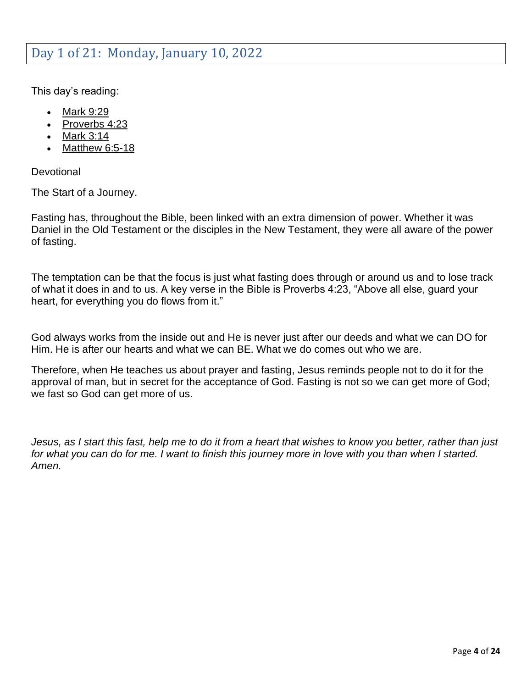<span id="page-3-0"></span>This day's reading:

- [Mark 9:29](https://my.bible.com/bible/1/MRK.9.29)
- [Proverbs 4:23](https://my.bible.com/bible/1/PRO.4.23)
- [Mark 3:14](https://my.bible.com/bible/1/MRK.3.14)
- [Matthew 6:5-18](https://my.bible.com/bible/1/MAT.6.5-18)

**Devotional** 

The Start of a Journey.

Fasting has, throughout the Bible, been linked with an extra dimension of power. Whether it was Daniel in the Old Testament or the disciples in the New Testament, they were all aware of the power of fasting.

The temptation can be that the focus is just what fasting does through or around us and to lose track of what it does in and to us. A key verse in the Bible is Proverbs 4:23, "Above all else, guard your heart, for everything you do flows from it."

God always works from the inside out and He is never just after our deeds and what we can DO for Him. He is after our hearts and what we can BE. What we do comes out who we are.

Therefore, when He teaches us about prayer and fasting, Jesus reminds people not to do it for the approval of man, but in secret for the acceptance of God. Fasting is not so we can get more of God; we fast so God can get more of us.

*Jesus, as I start this fast, help me to do it from a heart that wishes to know you better, rather than just*  for what you can do for me. I want to finish this journey more in love with you than when I started. *Amen.*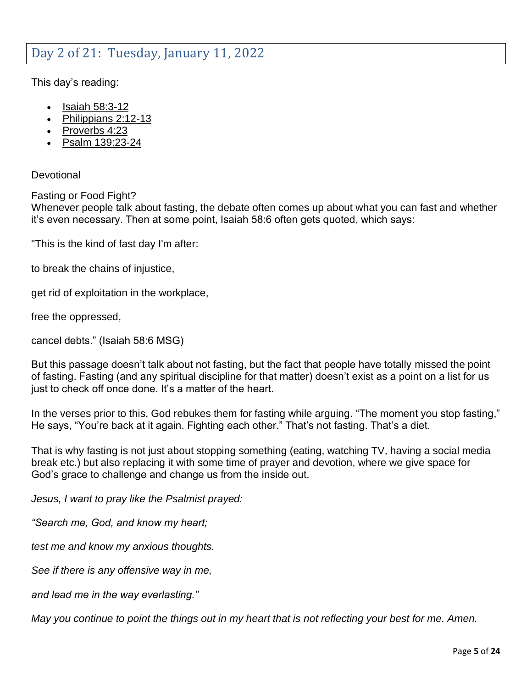### <span id="page-4-0"></span>Day 2 of 21: Tuesday, January 11, 2022

This day's reading:

- [Isaiah 58:3-12](https://my.bible.com/bible/1/ISA.58.3-12)
- [Philippians 2:12-13](https://my.bible.com/bible/1/PHP.2.12-13)
- [Proverbs 4:23](https://my.bible.com/bible/1/PRO.4.23)
- [Psalm 139:23-24](https://my.bible.com/bible/1/PSA.139.23-24)

#### **Devotional**

Fasting or Food Fight?

Whenever people talk about fasting, the debate often comes up about what you can fast and whether it's even necessary. Then at some point, Isaiah 58:6 often gets quoted, which says:

"This is the kind of fast day I'm after:

to break the chains of injustice,

get rid of exploitation in the workplace,

free the oppressed,

cancel debts." (Isaiah 58:6 MSG)

But this passage doesn't talk about not fasting, but the fact that people have totally missed the point of fasting. Fasting (and any spiritual discipline for that matter) doesn't exist as a point on a list for us just to check off once done. It's a matter of the heart.

In the verses prior to this, God rebukes them for fasting while arguing. "The moment you stop fasting," He says, "You're back at it again. Fighting each other." That's not fasting. That's a diet.

That is why fasting is not just about stopping something (eating, watching TV, having a social media break etc.) but also replacing it with some time of prayer and devotion, where we give space for God's grace to challenge and change us from the inside out.

*Jesus, I want to pray like the Psalmist prayed:*

*"Search me, God, and know my heart;*

*test me and know my anxious thoughts.*

*See if there is any offensive way in me,*

*and lead me in the way everlasting."*

*May you continue to point the things out in my heart that is not reflecting your best for me. Amen.*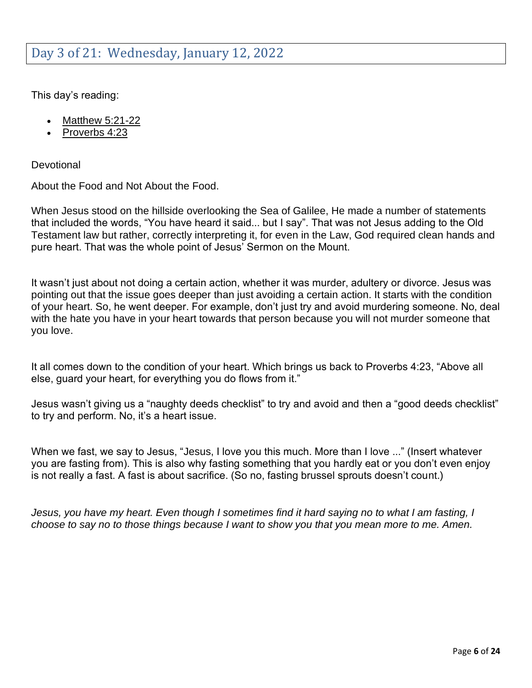<span id="page-5-0"></span>This day's reading:

- [Matthew 5:21-22](https://my.bible.com/bible/1/MAT.5.21-22)
- [Proverbs 4:23](https://my.bible.com/bible/1/PRO.4.23)

**Devotional** 

About the Food and Not About the Food.

When Jesus stood on the hillside overlooking the Sea of Galilee, He made a number of statements that included the words, "You have heard it said... but I say". That was not Jesus adding to the Old Testament law but rather, correctly interpreting it, for even in the Law, God required clean hands and pure heart. That was the whole point of Jesus' Sermon on the Mount.

It wasn't just about not doing a certain action, whether it was murder, adultery or divorce. Jesus was pointing out that the issue goes deeper than just avoiding a certain action. It starts with the condition of your heart. So, he went deeper. For example, don't just try and avoid murdering someone. No, deal with the hate you have in your heart towards that person because you will not murder someone that you love.

It all comes down to the condition of your heart. Which brings us back to Proverbs 4:23, "Above all else, guard your heart, for everything you do flows from it."

Jesus wasn't giving us a "naughty deeds checklist" to try and avoid and then a "good deeds checklist" to try and perform. No, it's a heart issue.

When we fast, we say to Jesus, "Jesus, I love you this much. More than I love ..." (Insert whatever you are fasting from). This is also why fasting something that you hardly eat or you don't even enjoy is not really a fast. A fast is about sacrifice. (So no, fasting brussel sprouts doesn't count.)

*Jesus, you have my heart. Even though I sometimes find it hard saying no to what I am fasting, I choose to say no to those things because I want to show you that you mean more to me. Amen.*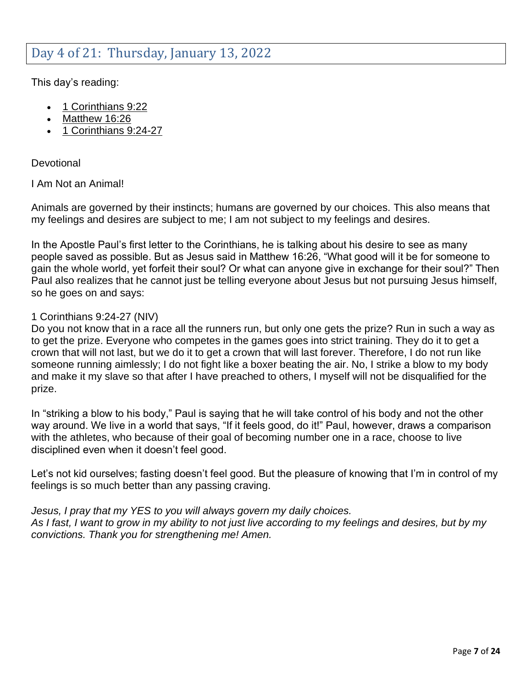### <span id="page-6-0"></span>Day 4 of 21: Thursday, January 13, 2022

This day's reading:

- [1 Corinthians 9:22](https://my.bible.com/bible/1/1CO.9.22)
- [Matthew 16:26](https://my.bible.com/bible/1/MAT.16.26)
- [1 Corinthians 9:24-27](https://my.bible.com/bible/1/1CO.9.24-27)

**Devotional** 

I Am Not an Animal!

Animals are governed by their instincts; humans are governed by our choices. This also means that my feelings and desires are subject to me; I am not subject to my feelings and desires.

In the Apostle Paul's first letter to the Corinthians, he is talking about his desire to see as many people saved as possible. But as Jesus said in Matthew 16:26, "What good will it be for someone to gain the whole world, yet forfeit their soul? Or what can anyone give in exchange for their soul?" Then Paul also realizes that he cannot just be telling everyone about Jesus but not pursuing Jesus himself, so he goes on and says:

#### 1 Corinthians 9:24-27 (NIV)

Do you not know that in a race all the runners run, but only one gets the prize? Run in such a way as to get the prize. Everyone who competes in the games goes into strict training. They do it to get a crown that will not last, but we do it to get a crown that will last forever. Therefore, I do not run like someone running aimlessly; I do not fight like a boxer beating the air. No, I strike a blow to my body and make it my slave so that after I have preached to others, I myself will not be disqualified for the prize.

In "striking a blow to his body," Paul is saying that he will take control of his body and not the other way around. We live in a world that says, "If it feels good, do it!" Paul, however, draws a comparison with the athletes, who because of their goal of becoming number one in a race, choose to live disciplined even when it doesn't feel good.

Let's not kid ourselves; fasting doesn't feel good. But the pleasure of knowing that I'm in control of my feelings is so much better than any passing craving.

*Jesus, I pray that my YES to you will always govern my daily choices. As I fast, I want to grow in my ability to not just live according to my feelings and desires, but by my convictions. Thank you for strengthening me! Amen.*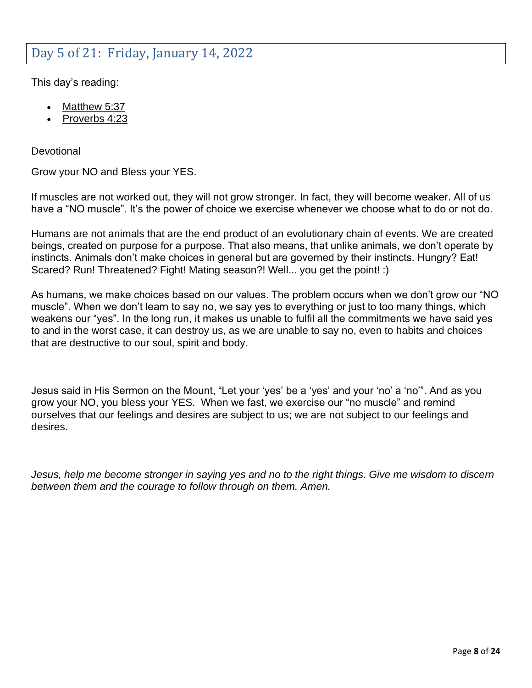### <span id="page-7-0"></span>Day 5 of 21: Friday, January 14, 2022

This day's reading:

- [Matthew 5:37](https://my.bible.com/bible/1/MAT.5.37)
- [Proverbs 4:23](https://my.bible.com/bible/1/PRO.4.23)

**Devotional** 

Grow your NO and Bless your YES.

If muscles are not worked out, they will not grow stronger. In fact, they will become weaker. All of us have a "NO muscle". It's the power of choice we exercise whenever we choose what to do or not do.

Humans are not animals that are the end product of an evolutionary chain of events. We are created beings, created on purpose for a purpose. That also means, that unlike animals, we don't operate by instincts. Animals don't make choices in general but are governed by their instincts. Hungry? Eat! Scared? Run! Threatened? Fight! Mating season?! Well... you get the point! :)

As humans, we make choices based on our values. The problem occurs when we don't grow our "NO muscle". When we don't learn to say no, we say yes to everything or just to too many things, which weakens our "yes". In the long run, it makes us unable to fulfil all the commitments we have said yes to and in the worst case, it can destroy us, as we are unable to say no, even to habits and choices that are destructive to our soul, spirit and body.

Jesus said in His Sermon on the Mount, "Let your 'yes' be a 'yes' and your 'no' a 'no'". And as you grow your NO, you bless your YES. When we fast, we exercise our "no muscle" and remind ourselves that our feelings and desires are subject to us; we are not subject to our feelings and desires.

*Jesus, help me become stronger in saying yes and no to the right things. Give me wisdom to discern between them and the courage to follow through on them. Amen.*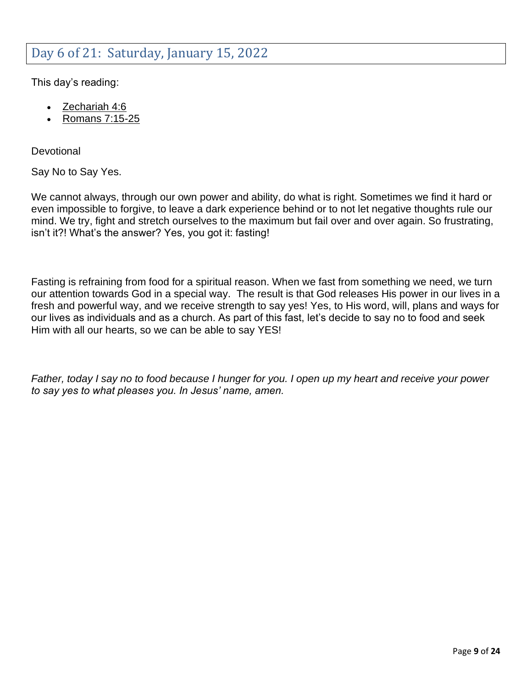### <span id="page-8-0"></span>Day 6 of 21: Saturday, January 15, 2022

This day's reading:

- [Zechariah 4:6](https://my.bible.com/bible/1/ZEC.4.6)
- [Romans 7:15-25](https://my.bible.com/bible/1/ROM.7.15-25)

**Devotional** 

Say No to Say Yes.

We cannot always, through our own power and ability, do what is right. Sometimes we find it hard or even impossible to forgive, to leave a dark experience behind or to not let negative thoughts rule our mind. We try, fight and stretch ourselves to the maximum but fail over and over again. So frustrating, isn't it?! What's the answer? Yes, you got it: fasting!

Fasting is refraining from food for a spiritual reason. When we fast from something we need, we turn our attention towards God in a special way. The result is that God releases His power in our lives in a fresh and powerful way, and we receive strength to say yes! Yes, to His word, will, plans and ways for our lives as individuals and as a church. As part of this fast, let's decide to say no to food and seek Him with all our hearts, so we can be able to say YES!

*Father, today I say no to food because I hunger for you. I open up my heart and receive your power to say yes to what pleases you. In Jesus' name, amen.*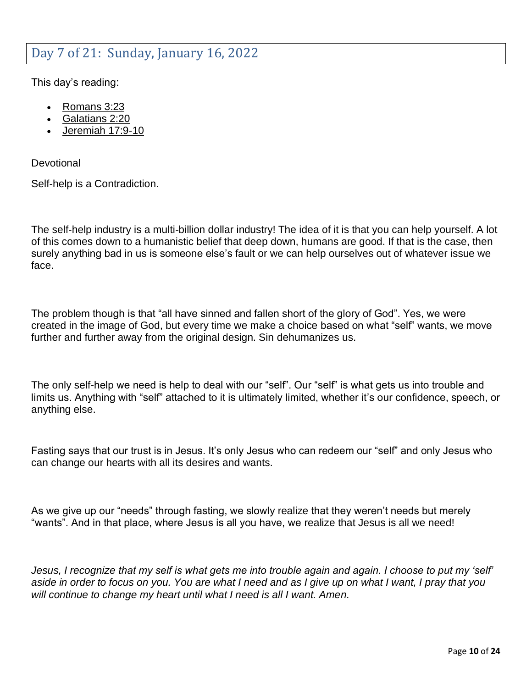### <span id="page-9-0"></span>Day 7 of 21: Sunday, January 16, 2022

This day's reading:

- [Romans 3:23](https://my.bible.com/bible/1/ROM.3.23)
- [Galatians 2:20](https://my.bible.com/bible/1/GAL.2.20)
- [Jeremiah 17:9-10](https://my.bible.com/bible/1/JER.17.9-10)

**Devotional** 

Self-help is a Contradiction.

The self-help industry is a multi-billion dollar industry! The idea of it is that you can help yourself. A lot of this comes down to a humanistic belief that deep down, humans are good. If that is the case, then surely anything bad in us is someone else's fault or we can help ourselves out of whatever issue we face.

The problem though is that "all have sinned and fallen short of the glory of God". Yes, we were created in the image of God, but every time we make a choice based on what "self" wants, we move further and further away from the original design. Sin dehumanizes us.

The only self-help we need is help to deal with our "self". Our "self" is what gets us into trouble and limits us. Anything with "self" attached to it is ultimately limited, whether it's our confidence, speech, or anything else.

Fasting says that our trust is in Jesus. It's only Jesus who can redeem our "self" and only Jesus who can change our hearts with all its desires and wants.

As we give up our "needs" through fasting, we slowly realize that they weren't needs but merely "wants". And in that place, where Jesus is all you have, we realize that Jesus is all we need!

*Jesus, I recognize that my self is what gets me into trouble again and again. I choose to put my 'self' aside in order to focus on you. You are what I need and as I give up on what I want, I pray that you will continue to change my heart until what I need is all I want. Amen.*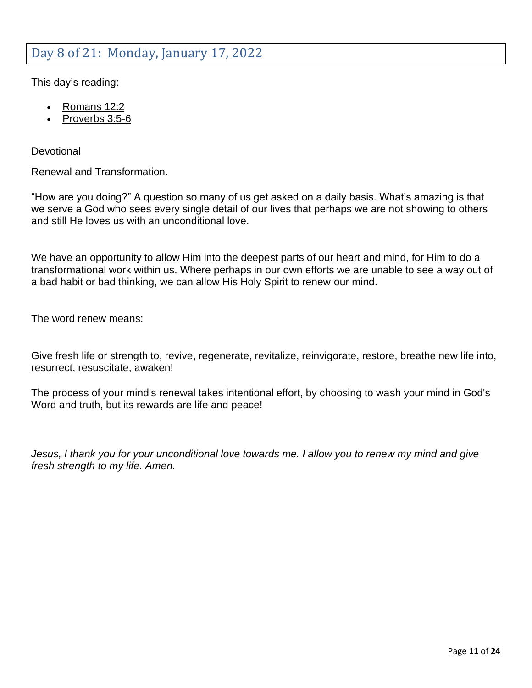### <span id="page-10-0"></span>Day 8 of 21: Monday, January 17, 2022

This day's reading:

- [Romans 12:2](https://my.bible.com/bible/1/ROM.12.2)
- [Proverbs 3:5-6](https://my.bible.com/bible/1/PRO.3.5-6)

**Devotional** 

Renewal and Transformation.

"How are you doing?" A question so many of us get asked on a daily basis. What's amazing is that we serve a God who sees every single detail of our lives that perhaps we are not showing to others and still He loves us with an unconditional love.

We have an opportunity to allow Him into the deepest parts of our heart and mind, for Him to do a transformational work within us. Where perhaps in our own efforts we are unable to see a way out of a bad habit or bad thinking, we can allow His Holy Spirit to renew our mind.

The word renew means:

Give fresh life or strength to, revive, regenerate, revitalize, reinvigorate, restore, breathe new life into, resurrect, resuscitate, awaken!

The process of your mind's renewal takes intentional effort, by choosing to wash your mind in God's Word and truth, but its rewards are life and peace!

*Jesus, I thank you for your unconditional love towards me. I allow you to renew my mind and give fresh strength to my life. Amen.*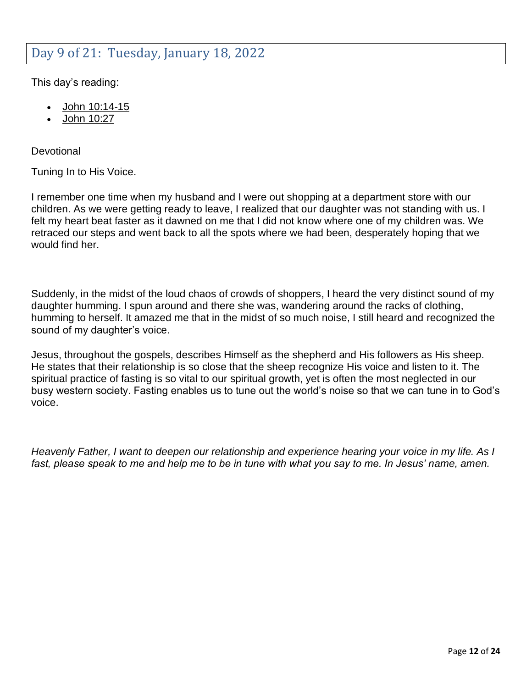#### <span id="page-11-0"></span>Day 9 of 21: Tuesday, January 18, 2022

This day's reading:

- [John 10:14-15](https://my.bible.com/bible/1/JHN.10.14-15)
- [John 10:27](https://my.bible.com/bible/1/JHN.10.27)

**Devotional** 

Tuning In to His Voice.

I remember one time when my husband and I were out shopping at a department store with our children. As we were getting ready to leave, I realized that our daughter was not standing with us. I felt my heart beat faster as it dawned on me that I did not know where one of my children was. We retraced our steps and went back to all the spots where we had been, desperately hoping that we would find her.

Suddenly, in the midst of the loud chaos of crowds of shoppers, I heard the very distinct sound of my daughter humming. I spun around and there she was, wandering around the racks of clothing, humming to herself. It amazed me that in the midst of so much noise, I still heard and recognized the sound of my daughter's voice.

Jesus, throughout the gospels, describes Himself as the shepherd and His followers as His sheep. He states that their relationship is so close that the sheep recognize His voice and listen to it. The spiritual practice of fasting is so vital to our spiritual growth, yet is often the most neglected in our busy western society. Fasting enables us to tune out the world's noise so that we can tune in to God's voice.

*Heavenly Father, I want to deepen our relationship and experience hearing your voice in my life. As I fast, please speak to me and help me to be in tune with what you say to me. In Jesus' name, amen.*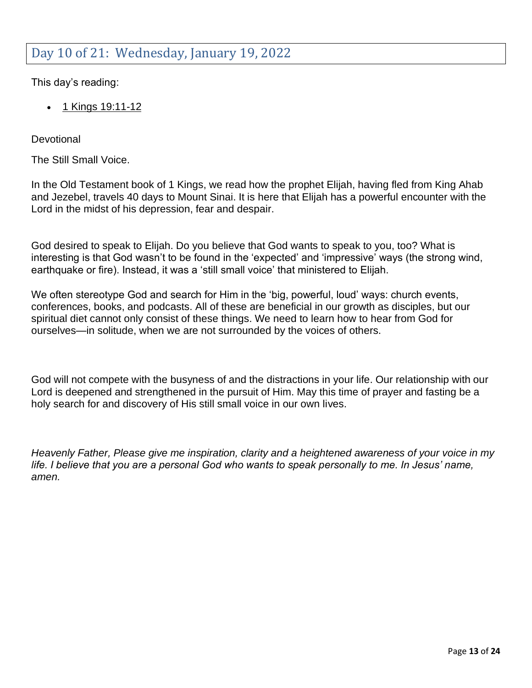## <span id="page-12-0"></span>Day 10 of 21: Wednesday, January 19, 2022

This day's reading:

• [1 Kings 19:11-12](https://my.bible.com/bible/1/1KI.19.11-12)

**Devotional** 

The Still Small Voice.

In the Old Testament book of 1 Kings, we read how the prophet Elijah, having fled from King Ahab and Jezebel, travels 40 days to Mount Sinai. It is here that Elijah has a powerful encounter with the Lord in the midst of his depression, fear and despair.

God desired to speak to Elijah. Do you believe that God wants to speak to you, too? What is interesting is that God wasn't to be found in the 'expected' and 'impressive' ways (the strong wind, earthquake or fire). Instead, it was a 'still small voice' that ministered to Elijah.

We often stereotype God and search for Him in the 'big, powerful, loud' ways: church events, conferences, books, and podcasts. All of these are beneficial in our growth as disciples, but our spiritual diet cannot only consist of these things. We need to learn how to hear from God for ourselves—in solitude, when we are not surrounded by the voices of others.

God will not compete with the busyness of and the distractions in your life. Our relationship with our Lord is deepened and strengthened in the pursuit of Him. May this time of prayer and fasting be a holy search for and discovery of His still small voice in our own lives.

*Heavenly Father, Please give me inspiration, clarity and a heightened awareness of your voice in my*  life. I believe that you are a personal God who wants to speak personally to me. In Jesus' name, *amen.*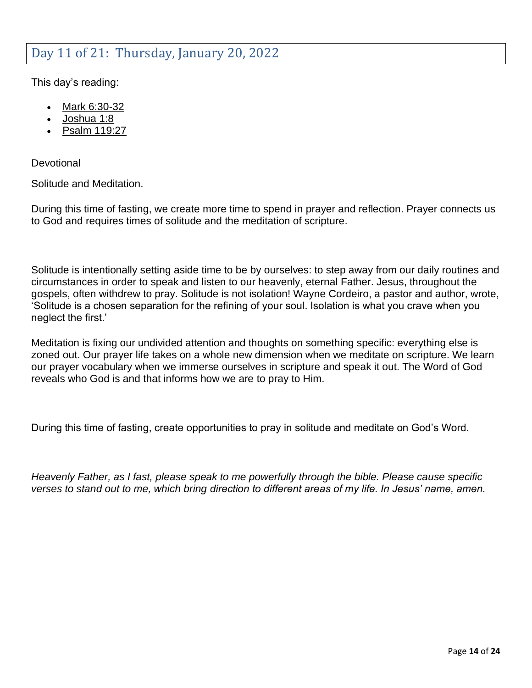### <span id="page-13-0"></span>Day 11 of 21: Thursday, January 20, 2022

This day's reading:

- [Mark 6:30-32](https://my.bible.com/bible/1/MRK.6.30-32)
- [Joshua 1:8](https://my.bible.com/bible/1/JOS.1.8)
- [Psalm 119:27](https://my.bible.com/bible/1/PSA.119.27)

**Devotional** 

Solitude and Meditation.

During this time of fasting, we create more time to spend in prayer and reflection. Prayer connects us to God and requires times of solitude and the meditation of scripture.

Solitude is intentionally setting aside time to be by ourselves: to step away from our daily routines and circumstances in order to speak and listen to our heavenly, eternal Father. Jesus, throughout the gospels, often withdrew to pray. Solitude is not isolation! Wayne Cordeiro, a pastor and author, wrote, 'Solitude is a chosen separation for the refining of your soul. Isolation is what you crave when you neglect the first.'

Meditation is fixing our undivided attention and thoughts on something specific: everything else is zoned out. Our prayer life takes on a whole new dimension when we meditate on scripture. We learn our prayer vocabulary when we immerse ourselves in scripture and speak it out. The Word of God reveals who God is and that informs how we are to pray to Him.

During this time of fasting, create opportunities to pray in solitude and meditate on God's Word.

*Heavenly Father, as I fast, please speak to me powerfully through the bible. Please cause specific verses to stand out to me, which bring direction to different areas of my life. In Jesus' name, amen.*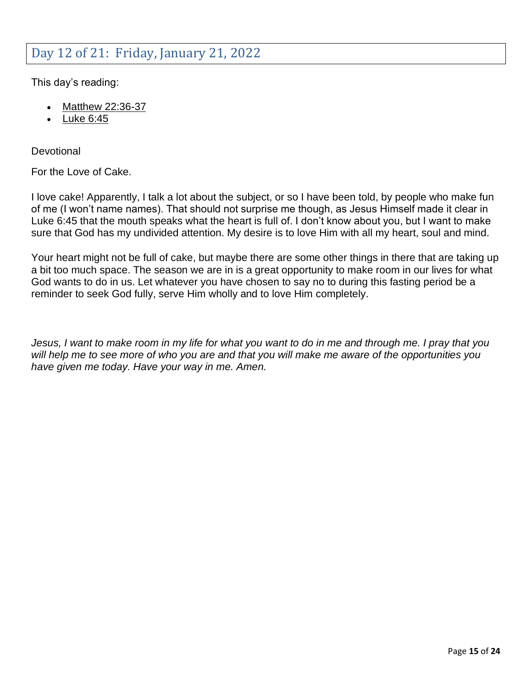### <span id="page-14-0"></span>Day 12 of 21: Friday, January 21, 2022

This day's reading:

- [Matthew 22:36-37](https://my.bible.com/bible/1/MAT.22.36-37)
- [Luke 6:45](https://my.bible.com/bible/1/LUK.6.45)

**Devotional** 

For the Love of Cake.

I love cake! Apparently, I talk a lot about the subject, or so I have been told, by people who make fun of me (I won't name names). That should not surprise me though, as Jesus Himself made it clear in Luke 6:45 that the mouth speaks what the heart is full of. I don't know about you, but I want to make sure that God has my undivided attention. My desire is to love Him with all my heart, soul and mind.

Your heart might not be full of cake, but maybe there are some other things in there that are taking up a bit too much space. The season we are in is a great opportunity to make room in our lives for what God wants to do in us. Let whatever you have chosen to say no to during this fasting period be a reminder to seek God fully, serve Him wholly and to love Him completely.

*Jesus, I want to make room in my life for what you want to do in me and through me. I pray that you will help me to see more of who you are and that you will make me aware of the opportunities you have given me today. Have your way in me. Amen.*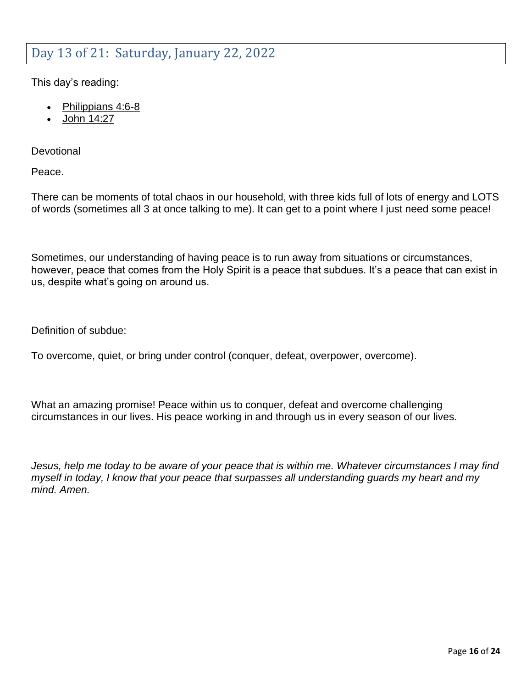### <span id="page-15-0"></span>Day 13 of 21: Saturday, January 22, 2022

This day's reading:

- [Philippians 4:6-8](https://my.bible.com/bible/1/PHP.4.6-8)
- [John 14:27](https://my.bible.com/bible/1/JHN.14.27)

**Devotional** 

Peace.

There can be moments of total chaos in our household, with three kids full of lots of energy and LOTS of words (sometimes all 3 at once talking to me). It can get to a point where I just need some peace!

Sometimes, our understanding of having peace is to run away from situations or circumstances, however, peace that comes from the Holy Spirit is a peace that subdues. It's a peace that can exist in us, despite what's going on around us.

Definition of subdue:

To overcome, quiet, or bring under control (conquer, defeat, overpower, overcome).

What an amazing promise! Peace within us to conquer, defeat and overcome challenging circumstances in our lives. His peace working in and through us in every season of our lives.

*Jesus, help me today to be aware of your peace that is within me. Whatever circumstances I may find myself in today, I know that your peace that surpasses all understanding guards my heart and my mind. Amen.*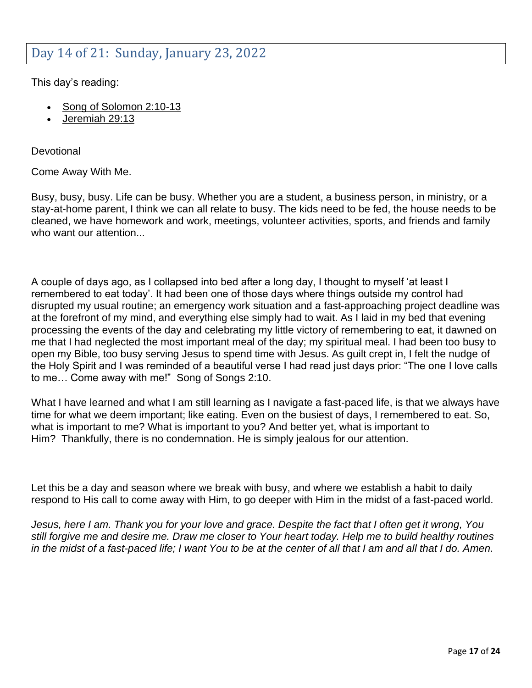#### <span id="page-16-0"></span>Day 14 of 21: Sunday, January 23, 2022

This day's reading:

- [Song of Solomon 2:10-13](https://my.bible.com/bible/1/SNG.2.10-13)
- [Jeremiah 29:13](https://my.bible.com/bible/1/JER.29.13)

**Devotional** 

Come Away With Me.

Busy, busy, busy. Life can be busy. Whether you are a student, a business person, in ministry, or a stay-at-home parent, I think we can all relate to busy. The kids need to be fed, the house needs to be cleaned, we have homework and work, meetings, volunteer activities, sports, and friends and family who want our attention...

A couple of days ago, as I collapsed into bed after a long day, I thought to myself 'at least I remembered to eat today'. It had been one of those days where things outside my control had disrupted my usual routine; an emergency work situation and a fast-approaching project deadline was at the forefront of my mind, and everything else simply had to wait. As I laid in my bed that evening processing the events of the day and celebrating my little victory of remembering to eat, it dawned on me that I had neglected the most important meal of the day; my spiritual meal. I had been too busy to open my Bible, too busy serving Jesus to spend time with Jesus. As guilt crept in, I felt the nudge of the Holy Spirit and I was reminded of a beautiful verse I had read just days prior: "The one I love calls to me… Come away with me!" Song of Songs 2:10.

What I have learned and what I am still learning as I navigate a fast-paced life, is that we always have time for what we deem important; like eating. Even on the busiest of days, I remembered to eat. So, what is important to me? What is important to you? And better yet, what is important to Him? Thankfully, there is no condemnation. He is simply jealous for our attention.

Let this be a day and season where we break with busy, and where we establish a habit to daily respond to His call to come away with Him, to go deeper with Him in the midst of a fast-paced world.

*Jesus, here I am. Thank you for your love and grace. Despite the fact that I often get it wrong, You still forgive me and desire me. Draw me closer to Your heart today. Help me to build healthy routines in the midst of a fast-paced life; I want You to be at the center of all that I am and all that I do. Amen.*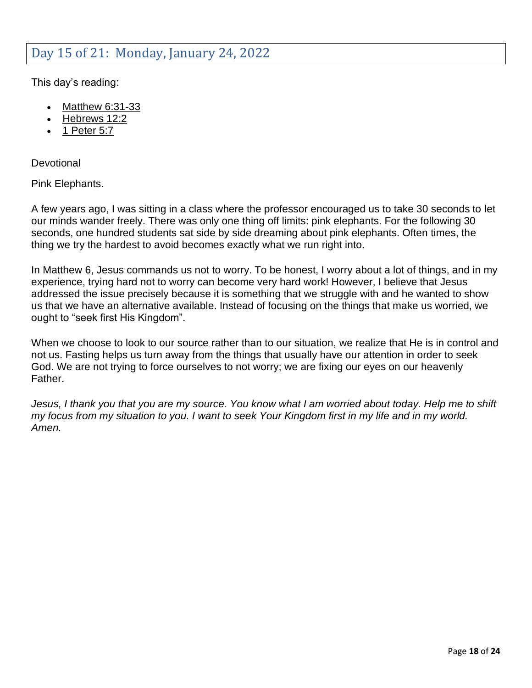### <span id="page-17-0"></span>Day 15 of 21: Monday, January 24, 2022

This day's reading:

- [Matthew 6:31-33](https://my.bible.com/bible/1/MAT.6.31-33)
- [Hebrews 12:2](https://my.bible.com/bible/1/HEB.12.2)
- [1 Peter 5:7](https://my.bible.com/bible/1/1PE.5.7)

**Devotional** 

Pink Elephants.

A few years ago, I was sitting in a class where the professor encouraged us to take 30 seconds to let our minds wander freely. There was only one thing off limits: pink elephants. For the following 30 seconds, one hundred students sat side by side dreaming about pink elephants. Often times, the thing we try the hardest to avoid becomes exactly what we run right into.

In Matthew 6, Jesus commands us not to worry. To be honest, I worry about a lot of things, and in my experience, trying hard not to worry can become very hard work! However, I believe that Jesus addressed the issue precisely because it is something that we struggle with and he wanted to show us that we have an alternative available. Instead of focusing on the things that make us worried, we ought to "seek first His Kingdom".

When we choose to look to our source rather than to our situation, we realize that He is in control and not us. Fasting helps us turn away from the things that usually have our attention in order to seek God. We are not trying to force ourselves to not worry; we are fixing our eyes on our heavenly Father.

*Jesus, I thank you that you are my source. You know what I am worried about today. Help me to shift my focus from my situation to you. I want to seek Your Kingdom first in my life and in my world. Amen.*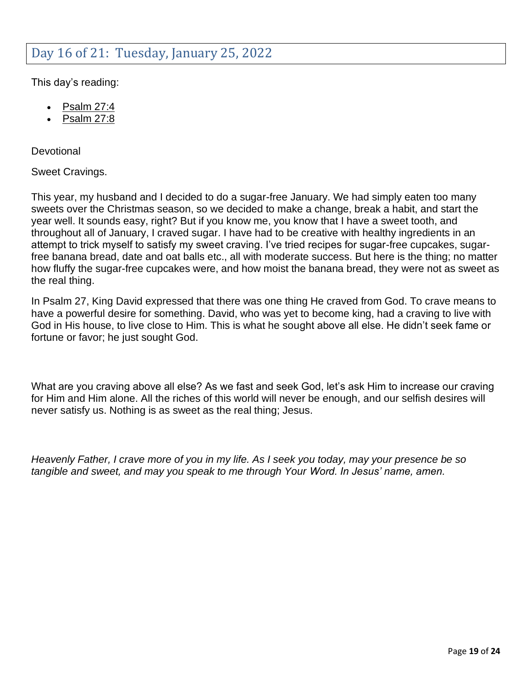### <span id="page-18-0"></span>Day 16 of 21: Tuesday, January 25, 2022

This day's reading:

- [Psalm 27:4](https://my.bible.com/bible/1/PSA.27.4)
- [Psalm 27:8](https://my.bible.com/bible/1/PSA.27.8)

**Devotional** 

Sweet Cravings.

This year, my husband and I decided to do a sugar-free January. We had simply eaten too many sweets over the Christmas season, so we decided to make a change, break a habit, and start the year well. It sounds easy, right? But if you know me, you know that I have a sweet tooth, and throughout all of January, I craved sugar. I have had to be creative with healthy ingredients in an attempt to trick myself to satisfy my sweet craving. I've tried recipes for sugar-free cupcakes, sugarfree banana bread, date and oat balls etc., all with moderate success. But here is the thing; no matter how fluffy the sugar-free cupcakes were, and how moist the banana bread, they were not as sweet as the real thing.

In Psalm 27, King David expressed that there was one thing He craved from God. To crave means to have a powerful desire for something. David, who was yet to become king, had a craving to live with God in His house, to live close to Him. This is what he sought above all else. He didn't seek fame or fortune or favor; he just sought God.

What are you craving above all else? As we fast and seek God, let's ask Him to increase our craving for Him and Him alone. All the riches of this world will never be enough, and our selfish desires will never satisfy us. Nothing is as sweet as the real thing; Jesus.

*Heavenly Father, I crave more of you in my life. As I seek you today, may your presence be so tangible and sweet, and may you speak to me through Your Word. In Jesus' name, amen.*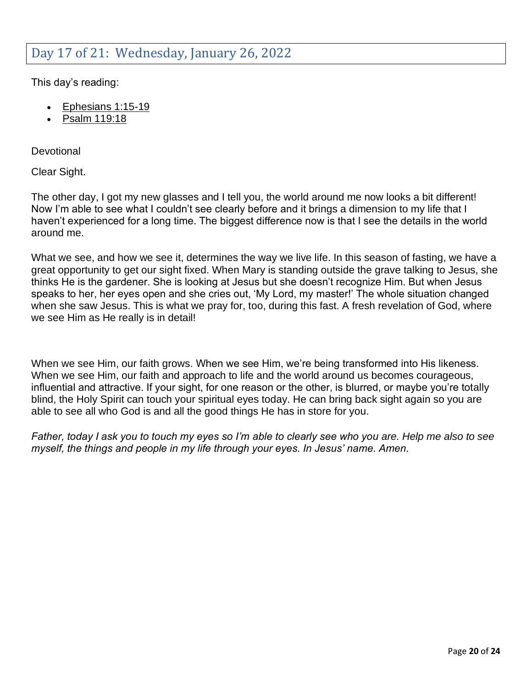### <span id="page-19-0"></span>Day 17 of 21: Wednesday, January 26, 2022

This day's reading:

- [Ephesians 1:15-19](https://my.bible.com/bible/1/EPH.1.15-19)
- [Psalm 119:18](https://my.bible.com/bible/1/PSA.119.18)

**Devotional** 

Clear Sight.

The other day, I got my new glasses and I tell you, the world around me now looks a bit different! Now I'm able to see what I couldn't see clearly before and it brings a dimension to my life that I haven't experienced for a long time. The biggest difference now is that I see the details in the world around me.

What we see, and how we see it, determines the way we live life. In this season of fasting, we have a great opportunity to get our sight fixed. When Mary is standing outside the grave talking to Jesus, she thinks He is the gardener. She is looking at Jesus but she doesn't recognize Him. But when Jesus speaks to her, her eyes open and she cries out, 'My Lord, my master!' The whole situation changed when she saw Jesus. This is what we pray for, too, during this fast. A fresh revelation of God, where we see Him as He really is in detail!

When we see Him, our faith grows. When we see Him, we're being transformed into His likeness. When we see Him, our faith and approach to life and the world around us becomes courageous, influential and attractive. If your sight, for one reason or the other, is blurred, or maybe you're totally blind, the Holy Spirit can touch your spiritual eyes today. He can bring back sight again so you are able to see all who God is and all the good things He has in store for you.

*Father, today I ask you to touch my eyes so I'm able to clearly see who you are. Help me also to see myself, the things and people in my life through your eyes. In Jesus' name. Amen.*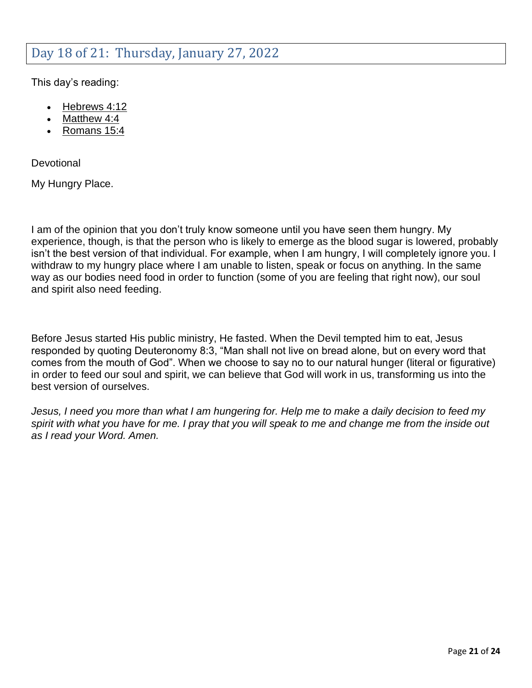### <span id="page-20-0"></span>Day 18 of 21: Thursday, January 27, 2022

This day's reading:

- [Hebrews 4:12](https://my.bible.com/bible/1/HEB.4.12)
- [Matthew 4:4](https://my.bible.com/bible/1/MAT.4.4)
- [Romans 15:4](https://my.bible.com/bible/1/ROM.15.4)

**Devotional** 

My Hungry Place.

I am of the opinion that you don't truly know someone until you have seen them hungry. My experience, though, is that the person who is likely to emerge as the blood sugar is lowered, probably isn't the best version of that individual. For example, when I am hungry, I will completely ignore you. I withdraw to my hungry place where I am unable to listen, speak or focus on anything. In the same way as our bodies need food in order to function (some of you are feeling that right now), our soul and spirit also need feeding.

Before Jesus started His public ministry, He fasted. When the Devil tempted him to eat, Jesus responded by quoting Deuteronomy 8:3, "Man shall not live on bread alone, but on every word that comes from the mouth of God". When we choose to say no to our natural hunger (literal or figurative) in order to feed our soul and spirit, we can believe that God will work in us, transforming us into the best version of ourselves.

*Jesus, I need you more than what I am hungering for. Help me to make a daily decision to feed my spirit with what you have for me. I pray that you will speak to me and change me from the inside out as I read your Word. Amen.*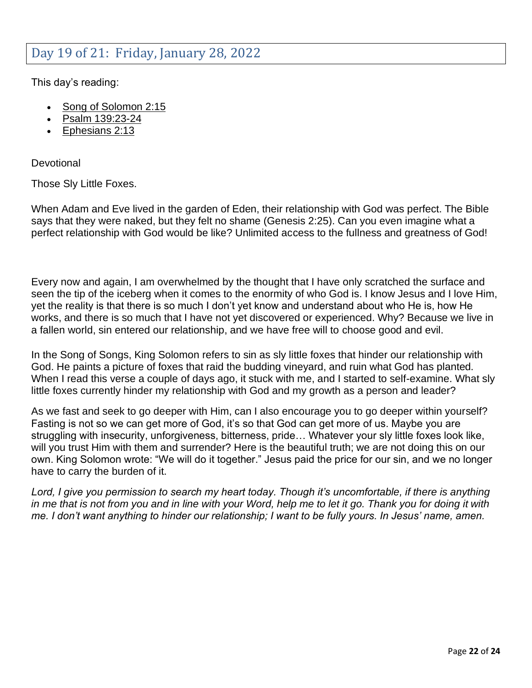### <span id="page-21-0"></span>Day 19 of 21: Friday, January 28, 2022

This day's reading:

- [Song of Solomon 2:15](https://my.bible.com/bible/1/SNG.2.15)
- [Psalm 139:23-24](https://my.bible.com/bible/1/PSA.139.23-24)
- [Ephesians 2:13](https://my.bible.com/bible/1/EPH.2.13)

**Devotional** 

Those Sly Little Foxes.

When Adam and Eve lived in the garden of Eden, their relationship with God was perfect. The Bible says that they were naked, but they felt no shame (Genesis 2:25). Can you even imagine what a perfect relationship with God would be like? Unlimited access to the fullness and greatness of God!

Every now and again, I am overwhelmed by the thought that I have only scratched the surface and seen the tip of the iceberg when it comes to the enormity of who God is. I know Jesus and I love Him, yet the reality is that there is so much I don't yet know and understand about who He is, how He works, and there is so much that I have not yet discovered or experienced. Why? Because we live in a fallen world, sin entered our relationship, and we have free will to choose good and evil.

In the Song of Songs, King Solomon refers to sin as sly little foxes that hinder our relationship with God. He paints a picture of foxes that raid the budding vineyard, and ruin what God has planted. When I read this verse a couple of days ago, it stuck with me, and I started to self-examine. What sly little foxes currently hinder my relationship with God and my growth as a person and leader?

As we fast and seek to go deeper with Him, can I also encourage you to go deeper within yourself? Fasting is not so we can get more of God, it's so that God can get more of us. Maybe you are struggling with insecurity, unforgiveness, bitterness, pride… Whatever your sly little foxes look like, will you trust Him with them and surrender? Here is the beautiful truth; we are not doing this on our own. King Solomon wrote: "We will do it together." Jesus paid the price for our sin, and we no longer have to carry the burden of it.

*Lord, I give you permission to search my heart today. Though it's uncomfortable, if there is anything in me that is not from you and in line with your Word, help me to let it go. Thank you for doing it with me. I don't want anything to hinder our relationship; I want to be fully yours. In Jesus' name, amen.*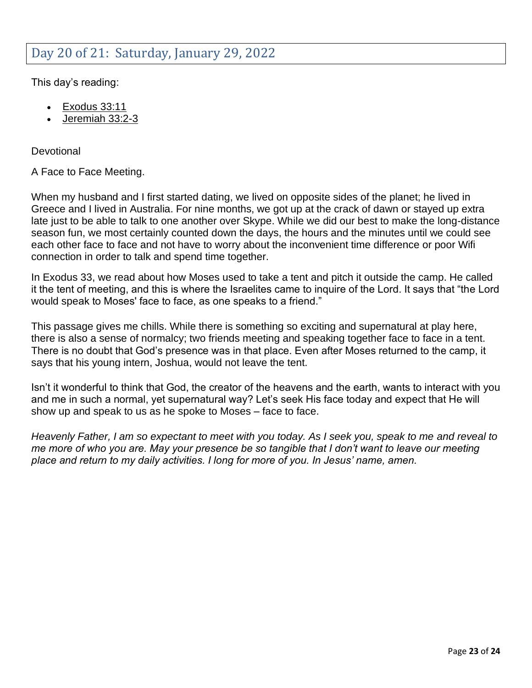### <span id="page-22-0"></span>Day 20 of 21: Saturday, January 29, 2022

This day's reading:

- [Exodus 33:11](https://my.bible.com/bible/1/EXO.33.11)
- [Jeremiah 33:2-3](https://my.bible.com/bible/1/JER.33.2-3)

**Devotional** 

A Face to Face Meeting.

When my husband and I first started dating, we lived on opposite sides of the planet; he lived in Greece and I lived in Australia. For nine months, we got up at the crack of dawn or stayed up extra late just to be able to talk to one another over Skype. While we did our best to make the long-distance season fun, we most certainly counted down the days, the hours and the minutes until we could see each other face to face and not have to worry about the inconvenient time difference or poor Wifi connection in order to talk and spend time together.

In Exodus 33, we read about how Moses used to take a tent and pitch it outside the camp. He called it the tent of meeting, and this is where the Israelites came to inquire of the Lord. It says that "the Lord would speak to Moses' face to face, as one speaks to a friend."

This passage gives me chills. While there is something so exciting and supernatural at play here, there is also a sense of normalcy; two friends meeting and speaking together face to face in a tent. There is no doubt that God's presence was in that place. Even after Moses returned to the camp, it says that his young intern, Joshua, would not leave the tent.

Isn't it wonderful to think that God, the creator of the heavens and the earth, wants to interact with you and me in such a normal, yet supernatural way? Let's seek His face today and expect that He will show up and speak to us as he spoke to Moses – face to face.

*Heavenly Father, I am so expectant to meet with you today. As I seek you, speak to me and reveal to me more of who you are. May your presence be so tangible that I don't want to leave our meeting place and return to my daily activities. I long for more of you. In Jesus' name, amen.*